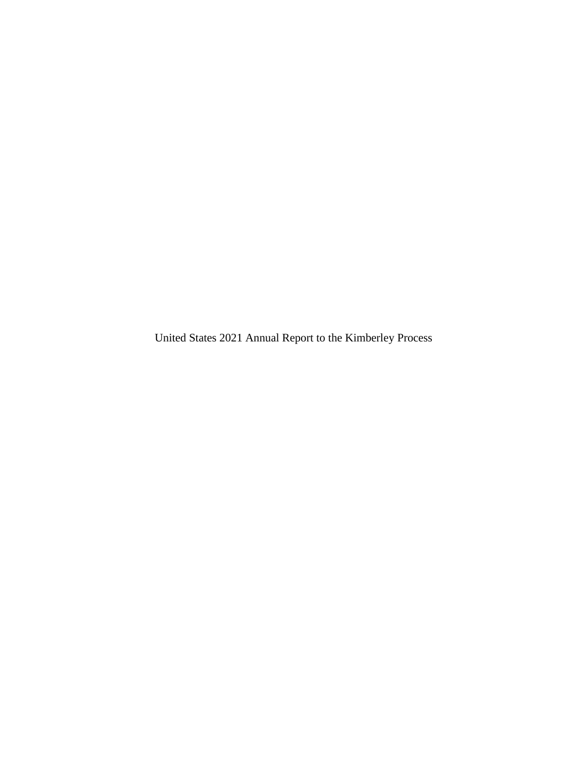United States 2021 Annual Report to the Kimberley Process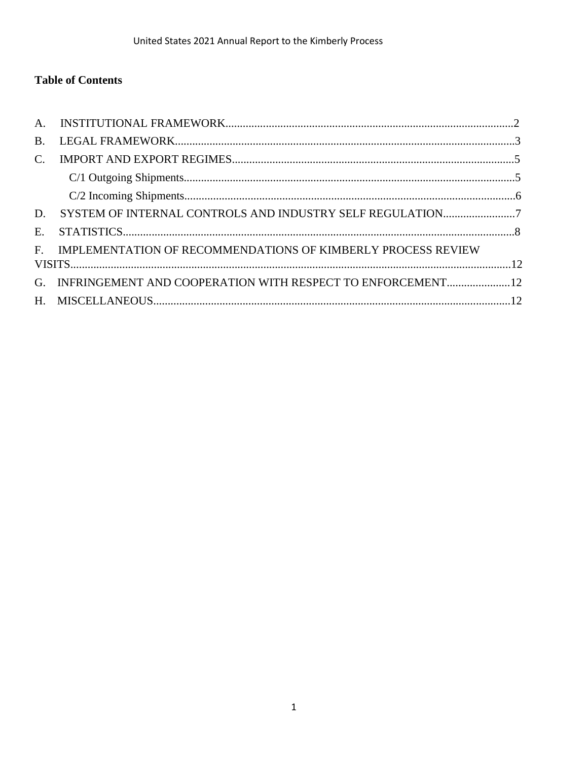## **Table of Contents**

| B.                    |                                                                 |  |
|-----------------------|-----------------------------------------------------------------|--|
| $\mathcal{C}_{\cdot}$ |                                                                 |  |
|                       |                                                                 |  |
|                       |                                                                 |  |
| D.                    |                                                                 |  |
| $E_{\rm c}$           |                                                                 |  |
|                       | F. IMPLEMENTATION OF RECOMMENDATIONS OF KIMBERLY PROCESS REVIEW |  |
|                       |                                                                 |  |
| $G_{-}$               | INFRINGEMENT AND COOPERATION WITH RESPECT TO ENFORCEMENT12      |  |
|                       |                                                                 |  |
|                       |                                                                 |  |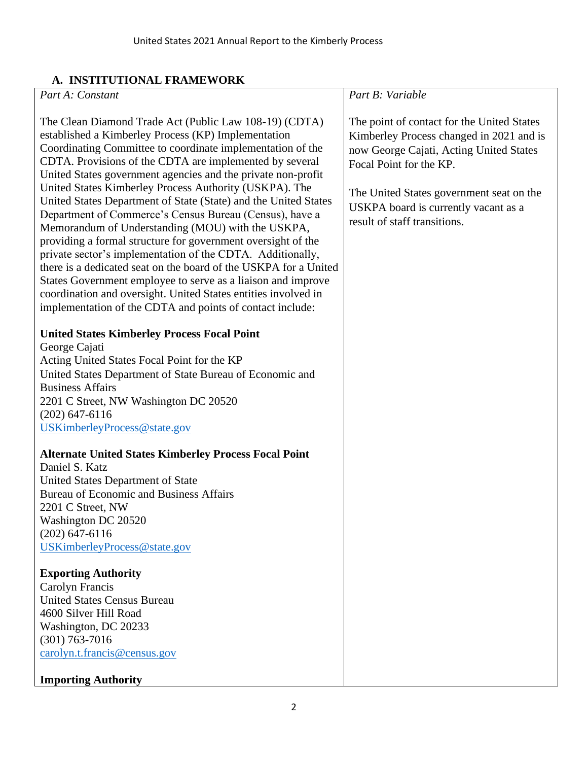# **A. INSTITUTIONAL FRAMEWORK**

| A. INSTITUTIOINAL FRAMEWORK                                                                                                                                                                                                                                                                                                                                                                                                                                                                                                                                                                                                                                                                                                                                                                                                                                                                                                                          |                                                                                                                                                                                                                                                                                  |
|------------------------------------------------------------------------------------------------------------------------------------------------------------------------------------------------------------------------------------------------------------------------------------------------------------------------------------------------------------------------------------------------------------------------------------------------------------------------------------------------------------------------------------------------------------------------------------------------------------------------------------------------------------------------------------------------------------------------------------------------------------------------------------------------------------------------------------------------------------------------------------------------------------------------------------------------------|----------------------------------------------------------------------------------------------------------------------------------------------------------------------------------------------------------------------------------------------------------------------------------|
| Part A: Constant                                                                                                                                                                                                                                                                                                                                                                                                                                                                                                                                                                                                                                                                                                                                                                                                                                                                                                                                     | Part B: Variable                                                                                                                                                                                                                                                                 |
| The Clean Diamond Trade Act (Public Law 108-19) (CDTA)<br>established a Kimberley Process (KP) Implementation<br>Coordinating Committee to coordinate implementation of the<br>CDTA. Provisions of the CDTA are implemented by several<br>United States government agencies and the private non-profit<br>United States Kimberley Process Authority (USKPA). The<br>United States Department of State (State) and the United States<br>Department of Commerce's Census Bureau (Census), have a<br>Memorandum of Understanding (MOU) with the USKPA,<br>providing a formal structure for government oversight of the<br>private sector's implementation of the CDTA. Additionally,<br>there is a dedicated seat on the board of the USKPA for a United<br>States Government employee to serve as a liaison and improve<br>coordination and oversight. United States entities involved in<br>implementation of the CDTA and points of contact include: | The point of contact for the United States<br>Kimberley Process changed in 2021 and is<br>now George Cajati, Acting United States<br>Focal Point for the KP.<br>The United States government seat on the<br>USKPA board is currently vacant as a<br>result of staff transitions. |
| <b>United States Kimberley Process Focal Point</b>                                                                                                                                                                                                                                                                                                                                                                                                                                                                                                                                                                                                                                                                                                                                                                                                                                                                                                   |                                                                                                                                                                                                                                                                                  |
| George Cajati                                                                                                                                                                                                                                                                                                                                                                                                                                                                                                                                                                                                                                                                                                                                                                                                                                                                                                                                        |                                                                                                                                                                                                                                                                                  |
| Acting United States Focal Point for the KP                                                                                                                                                                                                                                                                                                                                                                                                                                                                                                                                                                                                                                                                                                                                                                                                                                                                                                          |                                                                                                                                                                                                                                                                                  |
| United States Department of State Bureau of Economic and                                                                                                                                                                                                                                                                                                                                                                                                                                                                                                                                                                                                                                                                                                                                                                                                                                                                                             |                                                                                                                                                                                                                                                                                  |
| <b>Business Affairs</b>                                                                                                                                                                                                                                                                                                                                                                                                                                                                                                                                                                                                                                                                                                                                                                                                                                                                                                                              |                                                                                                                                                                                                                                                                                  |
| 2201 C Street, NW Washington DC 20520                                                                                                                                                                                                                                                                                                                                                                                                                                                                                                                                                                                                                                                                                                                                                                                                                                                                                                                |                                                                                                                                                                                                                                                                                  |
| $(202)$ 647-6116                                                                                                                                                                                                                                                                                                                                                                                                                                                                                                                                                                                                                                                                                                                                                                                                                                                                                                                                     |                                                                                                                                                                                                                                                                                  |
| USKimberleyProcess@state.gov                                                                                                                                                                                                                                                                                                                                                                                                                                                                                                                                                                                                                                                                                                                                                                                                                                                                                                                         |                                                                                                                                                                                                                                                                                  |
| <b>Alternate United States Kimberley Process Focal Point</b>                                                                                                                                                                                                                                                                                                                                                                                                                                                                                                                                                                                                                                                                                                                                                                                                                                                                                         |                                                                                                                                                                                                                                                                                  |
| Daniel S. Katz                                                                                                                                                                                                                                                                                                                                                                                                                                                                                                                                                                                                                                                                                                                                                                                                                                                                                                                                       |                                                                                                                                                                                                                                                                                  |
| United States Department of State                                                                                                                                                                                                                                                                                                                                                                                                                                                                                                                                                                                                                                                                                                                                                                                                                                                                                                                    |                                                                                                                                                                                                                                                                                  |
| <b>Bureau of Economic and Business Affairs</b>                                                                                                                                                                                                                                                                                                                                                                                                                                                                                                                                                                                                                                                                                                                                                                                                                                                                                                       |                                                                                                                                                                                                                                                                                  |
| 2201 C Street, NW<br>Washington DC 20520                                                                                                                                                                                                                                                                                                                                                                                                                                                                                                                                                                                                                                                                                                                                                                                                                                                                                                             |                                                                                                                                                                                                                                                                                  |
| $(202)$ 647-6116                                                                                                                                                                                                                                                                                                                                                                                                                                                                                                                                                                                                                                                                                                                                                                                                                                                                                                                                     |                                                                                                                                                                                                                                                                                  |
| USKimberleyProcess@state.gov                                                                                                                                                                                                                                                                                                                                                                                                                                                                                                                                                                                                                                                                                                                                                                                                                                                                                                                         |                                                                                                                                                                                                                                                                                  |
| <b>Exporting Authority</b>                                                                                                                                                                                                                                                                                                                                                                                                                                                                                                                                                                                                                                                                                                                                                                                                                                                                                                                           |                                                                                                                                                                                                                                                                                  |
| Carolyn Francis                                                                                                                                                                                                                                                                                                                                                                                                                                                                                                                                                                                                                                                                                                                                                                                                                                                                                                                                      |                                                                                                                                                                                                                                                                                  |
| <b>United States Census Bureau</b>                                                                                                                                                                                                                                                                                                                                                                                                                                                                                                                                                                                                                                                                                                                                                                                                                                                                                                                   |                                                                                                                                                                                                                                                                                  |
| 4600 Silver Hill Road                                                                                                                                                                                                                                                                                                                                                                                                                                                                                                                                                                                                                                                                                                                                                                                                                                                                                                                                |                                                                                                                                                                                                                                                                                  |
| Washington, DC 20233                                                                                                                                                                                                                                                                                                                                                                                                                                                                                                                                                                                                                                                                                                                                                                                                                                                                                                                                 |                                                                                                                                                                                                                                                                                  |
| $(301) 763 - 7016$                                                                                                                                                                                                                                                                                                                                                                                                                                                                                                                                                                                                                                                                                                                                                                                                                                                                                                                                   |                                                                                                                                                                                                                                                                                  |
| carolyn.t.francis@census.gov                                                                                                                                                                                                                                                                                                                                                                                                                                                                                                                                                                                                                                                                                                                                                                                                                                                                                                                         |                                                                                                                                                                                                                                                                                  |
| <b>Importing Authority</b>                                                                                                                                                                                                                                                                                                                                                                                                                                                                                                                                                                                                                                                                                                                                                                                                                                                                                                                           |                                                                                                                                                                                                                                                                                  |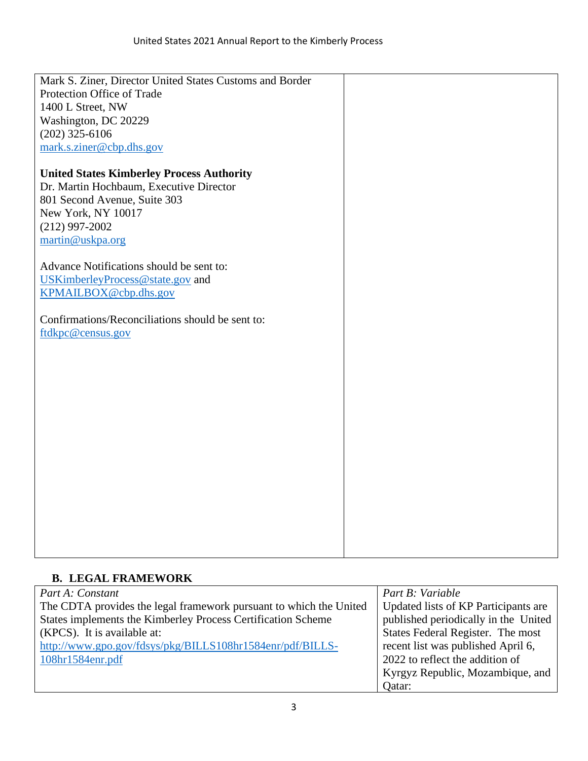| Mark S. Ziner, Director United States Customs and Border |  |
|----------------------------------------------------------|--|
| Protection Office of Trade                               |  |
| 1400 L Street, NW                                        |  |
| Washington, DC 20229                                     |  |
| $(202)$ 325-6106                                         |  |
| mark.s.ziner@cbp.dhs.gov                                 |  |
|                                                          |  |
| <b>United States Kimberley Process Authority</b>         |  |
| Dr. Martin Hochbaum, Executive Director                  |  |
| 801 Second Avenue, Suite 303                             |  |
| New York, NY 10017                                       |  |
| $(212)$ 997-2002                                         |  |
| martin@uskpa.org                                         |  |
|                                                          |  |
| Advance Notifications should be sent to:                 |  |
| USKimberleyProcess@state.gov and                         |  |
| KPMAILBOX@cbp.dhs.gov                                    |  |
|                                                          |  |
| Confirmations/Reconciliations should be sent to:         |  |
| ftdkpc@census.gov                                        |  |
|                                                          |  |
|                                                          |  |
|                                                          |  |
|                                                          |  |
|                                                          |  |
|                                                          |  |
|                                                          |  |
|                                                          |  |
|                                                          |  |
|                                                          |  |
|                                                          |  |
|                                                          |  |
|                                                          |  |
|                                                          |  |
|                                                          |  |
|                                                          |  |

## **B. LEGAL FRAMEWORK**

| Part A: Constant                                                   | Part B: Variable                     |
|--------------------------------------------------------------------|--------------------------------------|
| The CDTA provides the legal framework pursuant to which the United | Updated lists of KP Participants are |
| States implements the Kimberley Process Certification Scheme       | published periodically in the United |
| (KPCS). It is available at:                                        | States Federal Register. The most    |
| http://www.gpo.gov/fdsys/pkg/BILLS108hr1584enr/pdf/BILLS-          | recent list was published April 6,   |
| $108hr1584$ enr.pdf                                                | 2022 to reflect the addition of      |
|                                                                    | Kyrgyz Republic, Mozambique, and     |
|                                                                    | Oatar:                               |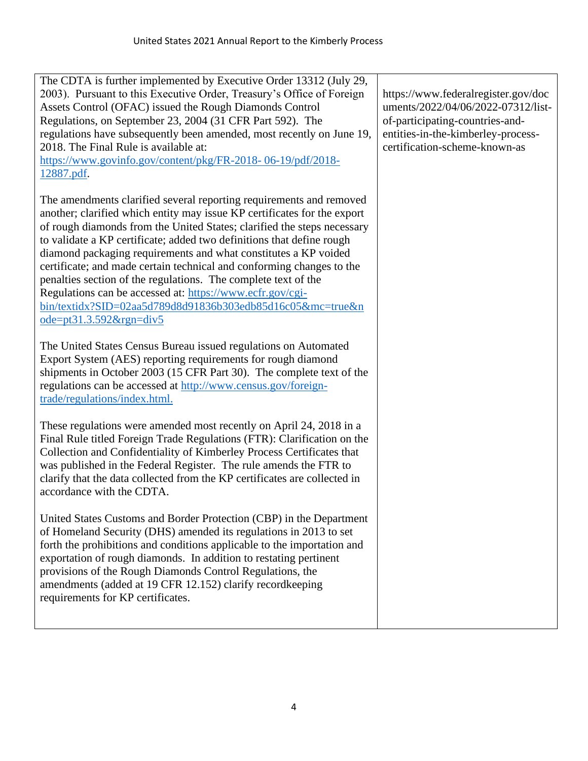| The CDTA is further implemented by Executive Order 13312 (July 29,<br>2003). Pursuant to this Executive Order, Treasury's Office of Foreign<br>Assets Control (OFAC) issued the Rough Diamonds Control<br>Regulations, on September 23, 2004 (31 CFR Part 592). The<br>regulations have subsequently been amended, most recently on June 19,<br>2018. The Final Rule is available at:<br>https://www.govinfo.gov/content/pkg/FR-2018-06-19/pdf/2018-<br>12887.pdf.                                                                                                                                                                                                        | https://www.federalregister.gov/doc<br>uments/2022/04/06/2022-07312/list-<br>of-participating-countries-and-<br>entities-in-the-kimberley-process-<br>certification-scheme-known-as |
|---------------------------------------------------------------------------------------------------------------------------------------------------------------------------------------------------------------------------------------------------------------------------------------------------------------------------------------------------------------------------------------------------------------------------------------------------------------------------------------------------------------------------------------------------------------------------------------------------------------------------------------------------------------------------|-------------------------------------------------------------------------------------------------------------------------------------------------------------------------------------|
| The amendments clarified several reporting requirements and removed<br>another; clarified which entity may issue KP certificates for the export<br>of rough diamonds from the United States; clarified the steps necessary<br>to validate a KP certificate; added two definitions that define rough<br>diamond packaging requirements and what constitutes a KP voided<br>certificate; and made certain technical and conforming changes to the<br>penalties section of the regulations. The complete text of the<br>Regulations can be accessed at: https://www.ecfr.gov/cgi-<br>bin/textidx?SID=02aa5d789d8d91836b303edb85d16c05&mc=true&n<br>$ode=pt31.3.592&rgn=div5$ |                                                                                                                                                                                     |
| The United States Census Bureau issued regulations on Automated<br>Export System (AES) reporting requirements for rough diamond<br>shipments in October 2003 (15 CFR Part 30). The complete text of the<br>regulations can be accessed at http://www.census.gov/foreign-<br>trade/regulations/index.html.                                                                                                                                                                                                                                                                                                                                                                 |                                                                                                                                                                                     |
| These regulations were amended most recently on April 24, 2018 in a<br>Final Rule titled Foreign Trade Regulations (FTR): Clarification on the<br>Collection and Confidentiality of Kimberley Process Certificates that<br>was published in the Federal Register. The rule amends the FTR to<br>clarify that the data collected from the KP certificates are collected in<br>accordance with the CDTA.                                                                                                                                                                                                                                                                    |                                                                                                                                                                                     |
| United States Customs and Border Protection (CBP) in the Department<br>of Homeland Security (DHS) amended its regulations in 2013 to set<br>forth the prohibitions and conditions applicable to the importation and<br>exportation of rough diamonds. In addition to restating pertinent<br>provisions of the Rough Diamonds Control Regulations, the<br>amendments (added at 19 CFR 12.152) clarify recordkeeping<br>requirements for KP certificates.                                                                                                                                                                                                                   |                                                                                                                                                                                     |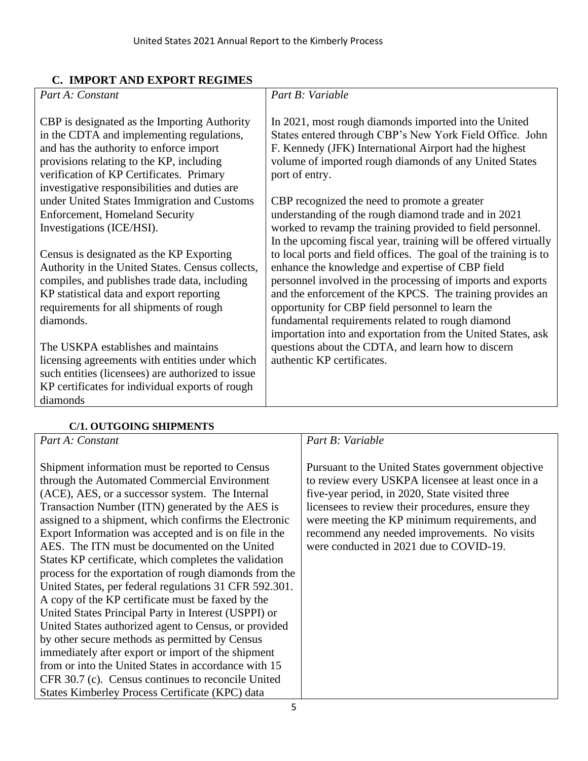## **C. IMPORT AND EXPORT REGIMES**

| Part A: Constant                                                                                                                                                                                                                                                              | Part B: Variable                                                                                                                                                                                                                                                                                                                                                                                                          |
|-------------------------------------------------------------------------------------------------------------------------------------------------------------------------------------------------------------------------------------------------------------------------------|---------------------------------------------------------------------------------------------------------------------------------------------------------------------------------------------------------------------------------------------------------------------------------------------------------------------------------------------------------------------------------------------------------------------------|
| CBP is designated as the Importing Authority<br>in the CDTA and implementing regulations,<br>and has the authority to enforce import<br>provisions relating to the KP, including<br>verification of KP Certificates. Primary<br>investigative responsibilities and duties are | In 2021, most rough diamonds imported into the United<br>States entered through CBP's New York Field Office. John<br>F. Kennedy (JFK) International Airport had the highest<br>volume of imported rough diamonds of any United States<br>port of entry.                                                                                                                                                                   |
| under United States Immigration and Customs<br><b>Enforcement, Homeland Security</b><br>Investigations (ICE/HSI).                                                                                                                                                             | CBP recognized the need to promote a greater<br>understanding of the rough diamond trade and in 2021<br>worked to revamp the training provided to field personnel.<br>In the upcoming fiscal year, training will be offered virtually                                                                                                                                                                                     |
| Census is designated as the KP Exporting<br>Authority in the United States. Census collects,<br>compiles, and publishes trade data, including<br>KP statistical data and export reporting<br>requirements for all shipments of rough<br>diamonds.                             | to local ports and field offices. The goal of the training is to<br>enhance the knowledge and expertise of CBP field<br>personnel involved in the processing of imports and exports<br>and the enforcement of the KPCS. The training provides an<br>opportunity for CBP field personnel to learn the<br>fundamental requirements related to rough diamond<br>importation into and exportation from the United States, ask |
| The USKPA establishes and maintains<br>licensing agreements with entities under which<br>such entities (licensees) are authorized to issue<br>KP certificates for individual exports of rough<br>diamonds                                                                     | questions about the CDTA, and learn how to discern<br>authentic KP certificates.                                                                                                                                                                                                                                                                                                                                          |
| CH ATTECATION CITIES EDITOR                                                                                                                                                                                                                                                   |                                                                                                                                                                                                                                                                                                                                                                                                                           |

#### **C/1. OUTGOING SHIPMENTS**

*Part A: Constant*

Shipment information must be reported to Census through the Automated Commercial Environment (ACE), AES, or a successor system. The Internal Transaction Number (ITN) generated by the AES is assigned to a shipment, which confirms the Electronic Export Information was accepted and is on file in the AES. The ITN must be documented on the United States KP certificate, which completes the validation process for the exportation of rough diamonds from the United States, per federal regulations 31 CFR 592.301. A copy of the KP certificate must be faxed by the United States Principal Party in Interest (USPPI) or United States authorized agent to Census, or provided by other secure methods as permitted by Census immediately after export or import of the shipment from or into the United States in accordance with 15 CFR 30.7 (c). Census continues to reconcile United States Kimberley Process Certificate (KPC) data

#### *Part B: Variable*

Pursuant to the United States government objective to review every USKPA licensee at least once in a five-year period, in 2020, State visited three licensees to review their procedures, ensure they were meeting the KP minimum requirements, and recommend any needed improvements. No visits were conducted in 2021 due to COVID-19.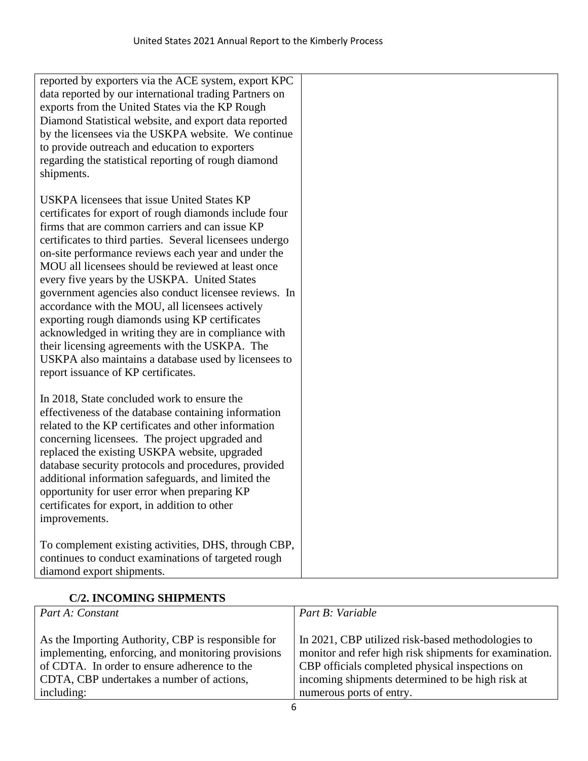| reported by exporters via the ACE system, export KPC<br>data reported by our international trading Partners on<br>exports from the United States via the KP Rough<br>Diamond Statistical website, and export data reported<br>by the licensees via the USKPA website. We continue<br>to provide outreach and education to exporters<br>regarding the statistical reporting of rough diamond<br>shipments.                                                                                                                                                                                                                                                                                                                                               |  |  |  |  |  |
|---------------------------------------------------------------------------------------------------------------------------------------------------------------------------------------------------------------------------------------------------------------------------------------------------------------------------------------------------------------------------------------------------------------------------------------------------------------------------------------------------------------------------------------------------------------------------------------------------------------------------------------------------------------------------------------------------------------------------------------------------------|--|--|--|--|--|
| USKPA licensees that issue United States KP<br>certificates for export of rough diamonds include four<br>firms that are common carriers and can issue KP<br>certificates to third parties. Several licensees undergo<br>on-site performance reviews each year and under the<br>MOU all licensees should be reviewed at least once<br>every five years by the USKPA. United States<br>government agencies also conduct licensee reviews. In<br>accordance with the MOU, all licensees actively<br>exporting rough diamonds using KP certificates<br>acknowledged in writing they are in compliance with<br>their licensing agreements with the USKPA. The<br>USKPA also maintains a database used by licensees to<br>report issuance of KP certificates. |  |  |  |  |  |
| In 2018, State concluded work to ensure the<br>effectiveness of the database containing information<br>related to the KP certificates and other information<br>concerning licensees. The project upgraded and<br>replaced the existing USKPA website, upgraded<br>database security protocols and procedures, provided<br>additional information safeguards, and limited the<br>opportunity for user error when preparing KP<br>certificates for export, in addition to other<br>improvements.                                                                                                                                                                                                                                                          |  |  |  |  |  |
| To complement existing activities, DHS, through CBP,<br>continues to conduct examinations of targeted rough<br>diamond export shipments.                                                                                                                                                                                                                                                                                                                                                                                                                                                                                                                                                                                                                |  |  |  |  |  |

# **C/2. INCOMING SHIPMENTS**

| Part A: Constant                                   | Part B: Variable                                       |
|----------------------------------------------------|--------------------------------------------------------|
| As the Importing Authority, CBP is responsible for | In 2021, CBP utilized risk-based methodologies to      |
| implementing, enforcing, and monitoring provisions | monitor and refer high risk shipments for examination. |
| of CDTA. In order to ensure adherence to the       | CBP officials completed physical inspections on        |
| CDTA, CBP undertakes a number of actions,          | incoming shipments determined to be high risk at       |
| including:                                         | numerous ports of entry.                               |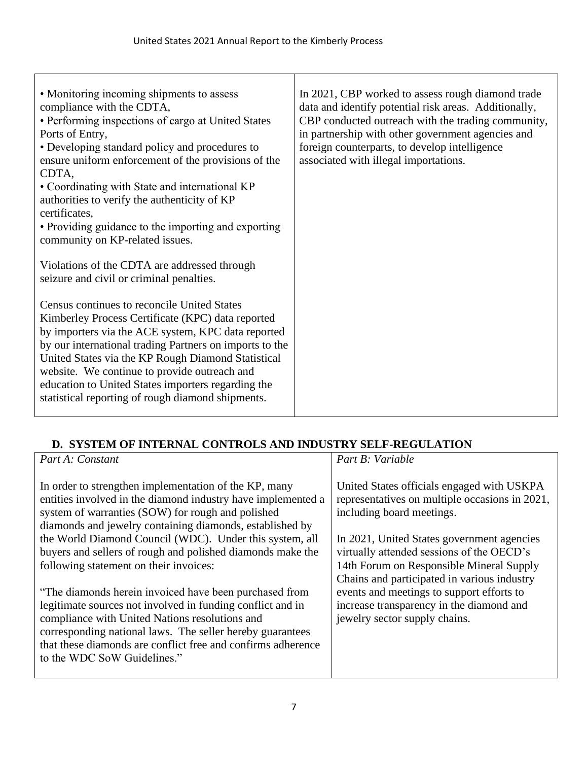| • Monitoring incoming shipments to assess<br>compliance with the CDTA,<br>• Performing inspections of cargo at United States<br>Ports of Entry,<br>• Developing standard policy and procedures to<br>ensure uniform enforcement of the provisions of the<br>CDTA,<br>• Coordinating with State and international KP<br>authorities to verify the authenticity of KP<br>certificates,<br>• Providing guidance to the importing and exporting<br>community on KP-related issues.<br>Violations of the CDTA are addressed through<br>seizure and civil or criminal penalties.<br>Census continues to reconcile United States<br>Kimberley Process Certificate (KPC) data reported<br>by importers via the ACE system, KPC data reported<br>by our international trading Partners on imports to the<br>United States via the KP Rough Diamond Statistical<br>website. We continue to provide outreach and | In 2021, CBP worked to assess rough diamond trade<br>data and identify potential risk areas. Additionally,<br>CBP conducted outreach with the trading community,<br>in partnership with other government agencies and<br>foreign counterparts, to develop intelligence<br>associated with illegal importations. |
|-------------------------------------------------------------------------------------------------------------------------------------------------------------------------------------------------------------------------------------------------------------------------------------------------------------------------------------------------------------------------------------------------------------------------------------------------------------------------------------------------------------------------------------------------------------------------------------------------------------------------------------------------------------------------------------------------------------------------------------------------------------------------------------------------------------------------------------------------------------------------------------------------------|-----------------------------------------------------------------------------------------------------------------------------------------------------------------------------------------------------------------------------------------------------------------------------------------------------------------|
| education to United States importers regarding the<br>statistical reporting of rough diamond shipments.                                                                                                                                                                                                                                                                                                                                                                                                                                                                                                                                                                                                                                                                                                                                                                                               |                                                                                                                                                                                                                                                                                                                 |

Т

# **D. SYSTEM OF INTERNAL CONTROLS AND INDUSTRY SELF-REGULATION**

| Part A: Constant                                                                                                                                                                                                                                                                                                                                                                                                                                                                                                                                                                    | Part B: Variable                                                                                                                                                                                                                                                                                                                                                                                                                          |
|-------------------------------------------------------------------------------------------------------------------------------------------------------------------------------------------------------------------------------------------------------------------------------------------------------------------------------------------------------------------------------------------------------------------------------------------------------------------------------------------------------------------------------------------------------------------------------------|-------------------------------------------------------------------------------------------------------------------------------------------------------------------------------------------------------------------------------------------------------------------------------------------------------------------------------------------------------------------------------------------------------------------------------------------|
| In order to strengthen implementation of the KP, many<br>entities involved in the diamond industry have implemented a<br>system of warranties (SOW) for rough and polished<br>diamonds and jewelry containing diamonds, established by<br>the World Diamond Council (WDC). Under this system, all<br>buyers and sellers of rough and polished diamonds make the<br>following statement on their invoices:<br>"The diamonds herein invoiced have been purchased from<br>legitimate sources not involved in funding conflict and in<br>compliance with United Nations resolutions and | United States officials engaged with USKPA<br>representatives on multiple occasions in 2021,<br>including board meetings.<br>In 2021, United States government agencies<br>virtually attended sessions of the OECD's<br>14th Forum on Responsible Mineral Supply<br>Chains and participated in various industry<br>events and meetings to support efforts to<br>increase transparency in the diamond and<br>jewelry sector supply chains. |
| corresponding national laws. The seller hereby guarantees<br>that these diamonds are conflict free and confirms adherence<br>to the WDC SoW Guidelines."                                                                                                                                                                                                                                                                                                                                                                                                                            |                                                                                                                                                                                                                                                                                                                                                                                                                                           |
|                                                                                                                                                                                                                                                                                                                                                                                                                                                                                                                                                                                     |                                                                                                                                                                                                                                                                                                                                                                                                                                           |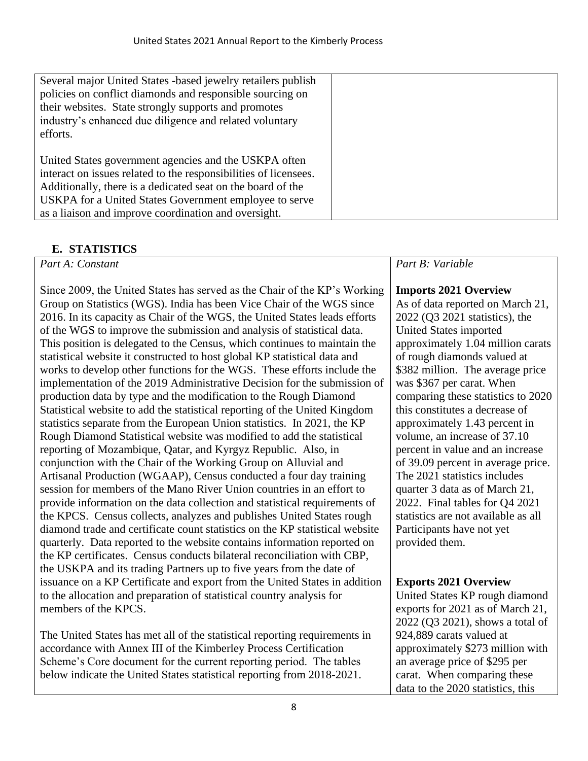| Several major United States -based jewelry retailers publish<br>policies on conflict diamonds and responsible sourcing on<br>their websites. State strongly supports and promotes<br>industry's enhanced due diligence and related voluntary<br>efforts.                                                   |  |
|------------------------------------------------------------------------------------------------------------------------------------------------------------------------------------------------------------------------------------------------------------------------------------------------------------|--|
| United States government agencies and the USKPA often<br>interact on issues related to the responsibilities of licensees.<br>Additionally, there is a dedicated seat on the board of the<br>USKPA for a United States Government employee to serve<br>as a liaison and improve coordination and oversight. |  |

# **E. STATISTICS**

*Part A: Constant*

Since 2009, the United States has served as the Chair of the KP's Working Group on Statistics (WGS). India has been Vice Chair of the WGS since 2016. In its capacity as Chair of the WGS, the United States leads efforts of the WGS to improve the submission and analysis of statistical data. This position is delegated to the Census, which continues to maintain the statistical website it constructed to host global KP statistical data and works to develop other functions for the WGS. These efforts include the implementation of the 2019 Administrative Decision for the submission of production data by type and the modification to the Rough Diamond Statistical website to add the statistical reporting of the United Kingdom statistics separate from the European Union statistics. In 2021, the KP Rough Diamond Statistical website was modified to add the statistical reporting of Mozambique, Qatar, and Kyrgyz Republic. Also, in conjunction with the Chair of the Working Group on Alluvial and Artisanal Production (WGAAP), Census conducted a four day training session for members of the Mano River Union countries in an effort to provide information on the data collection and statistical requirements of the KPCS. Census collects, analyzes and publishes United States rough diamond trade and certificate count statistics on the KP statistical website quarterly. Data reported to the website contains information reported on the KP certificates. Census conducts bilateral reconciliation with CBP, the USKPA and its trading Partners up to five years from the date of issuance on a KP Certificate and export from the United States in addition to the allocation and preparation of statistical country analysis for members of the KPCS.

The United States has met all of the statistical reporting requirements in accordance with Annex III of the Kimberley Process Certification Scheme's Core document for the current reporting period. The tables below indicate the United States statistical reporting from 2018-2021.

## *Part B: Variable*

## **Imports 2021 Overview**

As of data reported on March 21, 2022 (Q3 2021 statistics), the United States imported approximately 1.04 million carats of rough diamonds valued at \$382 million. The average price was \$367 per carat. When comparing these statistics to 2020 this constitutes a decrease of approximately 1.43 percent in volume, an increase of 37.10 percent in value and an increase of 39.09 percent in average price. The 2021 statistics includes quarter 3 data as of March 21, 2022. Final tables for Q4 2021 statistics are not available as all Participants have not yet provided them.

## **Exports 2021 Overview**

United States KP rough diamond exports for 2021 as of March 21, 2022 (Q3 2021), shows a total of 924,889 carats valued at approximately \$273 million with an average price of \$295 per carat. When comparing these data to the 2020 statistics, this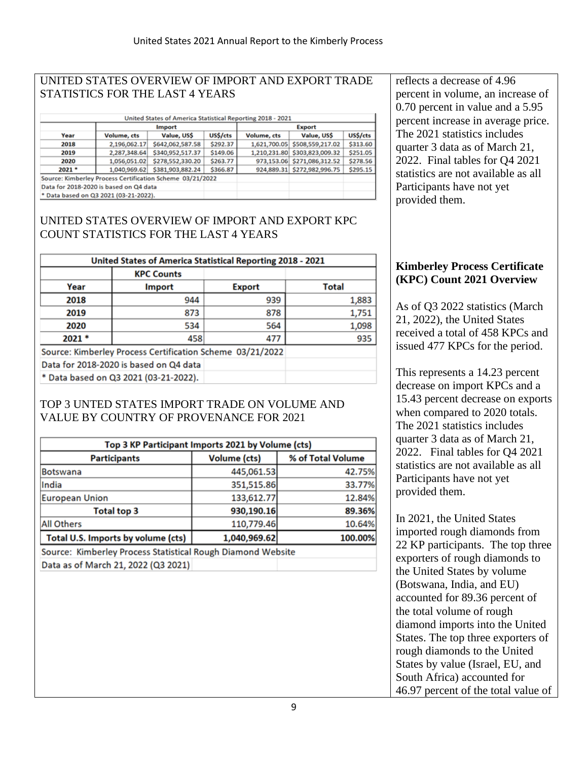#### UNITED STATES OVERVIEW OF IMPORT AND EXPORT TRADE STATISTICS FOR THE LAST 4 YEARS

| United States of America Statistical Reporting 2018 - 2021                           |              |                  |                            |                             |                               |          |  |  |  |
|--------------------------------------------------------------------------------------|--------------|------------------|----------------------------|-----------------------------|-------------------------------|----------|--|--|--|
|                                                                                      |              | Import           |                            | <b>Export</b>               |                               |          |  |  |  |
| Value, US\$<br>Volume, cts<br>Year                                                   |              | US\$/cts         | Value, US\$<br>Volume, cts |                             | US\$/cts                      |          |  |  |  |
| 2018                                                                                 | 2,196,062.17 | \$642,062,587.58 | \$292.37                   | 1,621,700.05                | \$508,559,217.02              | \$313.60 |  |  |  |
| \$340,952,517.37<br>2,287,348.64<br>2019<br>\$278,552,330.20<br>1,056,051.02<br>2020 |              |                  | \$149.06                   |                             | 1,210,231.80 \$303,823,009.32 | \$251.05 |  |  |  |
|                                                                                      |              | \$263.77         |                            | 973,153.06 \$271,086,312.52 | \$278.56                      |          |  |  |  |
| \$381,903,882.24<br>$2021$ *<br>1,040,969.62                                         |              | \$366.87         |                            | 924,889.31 \$272,982,996.75 | \$295.15                      |          |  |  |  |
| Source: Kimberley Process Certification Scheme 03/21/2022                            |              |                  |                            |                             |                               |          |  |  |  |
| Data for 2018-2020 is based on Q4 data                                               |              |                  |                            |                             |                               |          |  |  |  |
| * Data based on Q3 2021 (03-21-2022).                                                |              |                  |                            |                             |                               |          |  |  |  |

#### UNITED STATES OVERVIEW OF IMPORT AND EXPORT KPC COUNT STATISTICS FOR THE LAST 4 YEARS

| United States of America Statistical Reporting 2018 - 2021 |                                        |               |       |  |
|------------------------------------------------------------|----------------------------------------|---------------|-------|--|
|                                                            | <b>KPC Counts</b>                      |               |       |  |
| Year                                                       | <b>Import</b>                          | <b>Export</b> | Total |  |
| 2018                                                       | 944                                    | 939           | 1,883 |  |
| 2019                                                       | 873                                    | 878           | 1,751 |  |
| 2020                                                       | 534                                    | 564           | 1,098 |  |
| 2021 *                                                     | 458                                    | 477           | 935   |  |
| Source: Kimberley Process Certification Scheme 03/21/2022  |                                        |               |       |  |
|                                                            | Data for 2018-2020 is based on Q4 data |               |       |  |
|                                                            | * Data based on Q3 2021 (03-21-2022).  |               |       |  |

### TOP 3 UNTED STATES IMPORT TRADE ON VOLUME AND VALUE BY COUNTRY OF PROVENANCE FOR 2021

| Top 3 KP Participant Imports 2021 by Volume (cts)           |                     |                   |  |
|-------------------------------------------------------------|---------------------|-------------------|--|
| <b>Participants</b>                                         | <b>Volume (cts)</b> | % of Total Volume |  |
| <b>Botswana</b>                                             | 445,061.53          | 42.75%            |  |
| India                                                       | 351,515.86          | 33.77%            |  |
| <b>European Union</b>                                       | 133,612.77          | 12.84%            |  |
| <b>Total top 3</b>                                          | 930,190.16          | 89.36%            |  |
| <b>All Others</b>                                           | 110,779.46          | 10.64%            |  |
| Total U.S. Imports by volume (cts)                          | 1,040,969.62        | 100.00%           |  |
| Source: Kimberley Process Statistical Rough Diamond Website |                     |                   |  |
| Data as of March 21, 2022 (Q3 2021)                         |                     |                   |  |

reflects a decrease of 4.96 percent in volume, an increase of 0.70 percent in value and a 5.95 percent increase in average price. The 2021 statistics includes quarter 3 data as of March 21, 2022. Final tables for Q4 2021 statistics are not available as all Participants have not yet provided them.

#### **Kimberley Process Certificate (KPC) Count 2021 Overview**

As of Q3 2022 statistics (March 21, 2022), the United States received a total of 458 KPCs and issued 477 KPCs for the period.

This represents a 14.23 percent decrease on import KPCs and a 15.43 percent decrease on exports when compared to 2020 totals. The 2021 statistics includes quarter 3 data as of March 21, 2022. Final tables for Q4 2021 statistics are not available as all Participants have not yet provided them.

In 2021, the United States imported rough diamonds from 22 KP participants. The top three exporters of rough diamonds to the United States by volume (Botswana, India, and EU) accounted for 89.36 percent of the total volume of rough diamond imports into the United States. The top three exporters of rough diamonds to the United States by value (Israel, EU, and South Africa) accounted for 46.97 percent of the total value of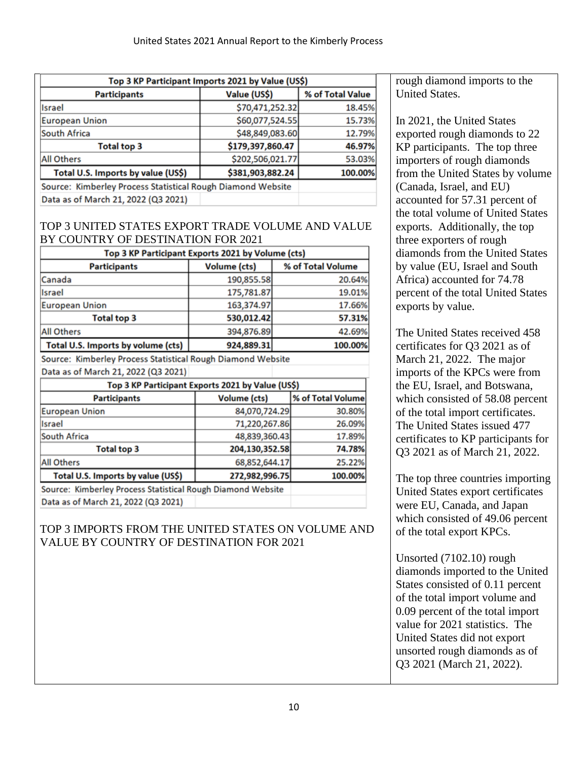| Top 3 KP Participant Imports 2021 by Value (US\$)           |                  |         |  |
|-------------------------------------------------------------|------------------|---------|--|
| Value (US\$)<br>% of Total Value<br><b>Participants</b>     |                  |         |  |
| Israel                                                      | \$70,471,252.32  | 18.45%  |  |
| <b>European Union</b>                                       | \$60,077,524.55  | 15.73%  |  |
| South Africa                                                | \$48,849,083.60  | 12.79%  |  |
| <b>Total top 3</b>                                          | \$179,397,860.47 | 46.97%  |  |
| <b>All Others</b>                                           | \$202,506,021.77 | 53.03%  |  |
| \$381,903,882.24<br>Total U.S. Imports by value (US\$)      |                  | 100.00% |  |
| Source: Kimberley Process Statistical Rough Diamond Website |                  |         |  |
| Data as of March 21, 2022 (Q3 2021)                         |                  |         |  |

#### TOP 3 UNITED STATES EXPORT TRADE VOLUME AND VALUE BY COUNTRY OF DESTINATION FOR 2021

| Top 3 KP Participant Exports 2021 by Volume (cts)           |                |  |                   |  |
|-------------------------------------------------------------|----------------|--|-------------------|--|
| <b>Participants</b>                                         | Volume (cts)   |  | % of Total Volume |  |
| Canada                                                      | 190,855.58     |  | 20.64%            |  |
| Israel                                                      | 175,781.87     |  | 19.01%            |  |
| <b>European Union</b>                                       | 163,374.97     |  | 17.66%            |  |
| <b>Total top 3</b>                                          | 530,012.42     |  | 57.31%            |  |
| <b>All Others</b>                                           | 394,876.89     |  | 42.69%            |  |
| Total U.S. Imports by volume (cts)                          | 924,889.31     |  | 100.00%           |  |
| Source: Kimberley Process Statistical Rough Diamond Website |                |  |                   |  |
| Data as of March 21, 2022 (Q3 2021)                         |                |  |                   |  |
| Top 3 KP Participant Exports 2021 by Value (US\$)           |                |  |                   |  |
| <b>Participants</b>                                         | Volume (cts)   |  | % of Total Volume |  |
| <b>European Union</b>                                       | 84,070,724.29  |  | 30.80%            |  |
| Israel                                                      | 71,220,267.86  |  | 26.09%            |  |
| South Africa                                                | 48,839,360.43  |  | 17.89%            |  |
| <b>Total top 3</b>                                          | 204,130,352.58 |  | 74.78%            |  |
| <b>All Others</b>                                           | 68,852,644.17  |  | 25.22%            |  |
| Total U.S. Imports by value (US\$)                          | 272,982,996.75 |  | 100.00%           |  |
| Source: Kimberley Process Statistical Rough Diamond Website |                |  |                   |  |
| Data as of March 21, 2022 (Q3 2021)                         |                |  |                   |  |

### TOP 3 IMPORTS FROM THE UNITED STATES ON VOLUME AND VALUE BY COUNTRY OF DESTINATION FOR 2021

rough diamond imports to the United States.

In 2021, the United States exported rough diamonds to 22 KP participants. The top three importers of rough diamonds from the United States by volume (Canada, Israel, and EU) accounted for 57.31 percent of the total volume of United States exports. Additionally, the top three exporters of rough diamonds from the United States by value (EU, Israel and South Africa) accounted for 74.78 percent of the total United States exports by value.

The United States received 458 certificates for Q3 2021 as of March 21, 2022. The major imports of the KPCs were from the EU, Israel, and Botswana, which consisted of 58.08 percent of the total import certificates. The United States issued 477 certificates to KP participants for Q3 2021 as of March 21, 2022.

The top three countries importing United States export certificates were EU, Canada, and Japan which consisted of 49.06 percent of the total export KPCs.

Unsorted (7102.10) rough diamonds imported to the United States consisted of 0.11 percent of the total import volume and 0.09 percent of the total import value for 2021 statistics. The United States did not export unsorted rough diamonds as of Q3 2021 (March 21, 2022).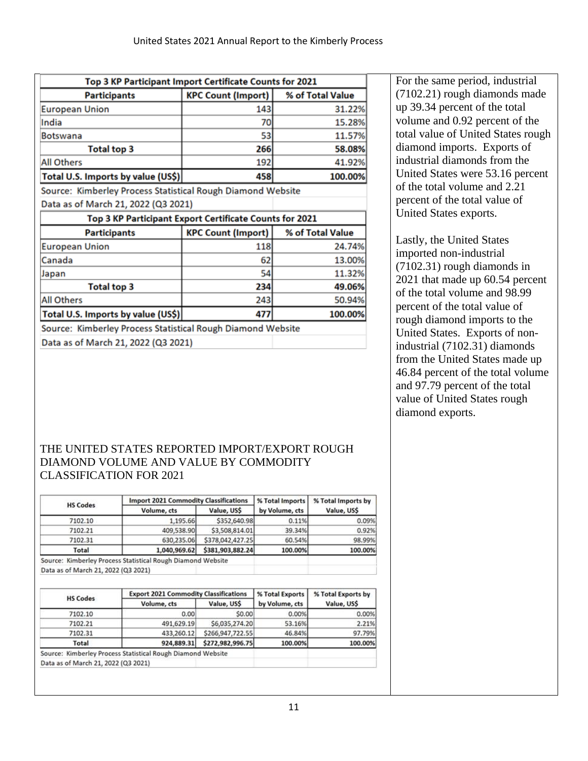| Top 3 KP Participant Import Certificate Counts for 2021     |                           |                  |  |
|-------------------------------------------------------------|---------------------------|------------------|--|
| <b>Participants</b>                                         | <b>KPC Count (Import)</b> | % of Total Value |  |
| <b>European Union</b>                                       | 143                       | 31.22%           |  |
| India                                                       | 70                        | 15.28%           |  |
| <b>Botswana</b>                                             | 53                        | 11.57%           |  |
| <b>Total top 3</b>                                          | 266                       | 58.08%           |  |
| <b>All Others</b>                                           | 192                       | 41.92%           |  |
| 458<br>Total U.S. Imports by value (US\$)<br>100.00%        |                           |                  |  |
| Source: Kimberley Process Statistical Rough Diamond Website |                           |                  |  |
| Data as of March 21, 2022 (Q3 2021)                         |                           |                  |  |
| Top 3 KP Participant Export Certificate Counts for 2021     |                           |                  |  |
| <b>Participants</b>                                         | <b>KPC Count (Import)</b> | % of Total Value |  |
| <b>European Union</b>                                       | 118                       | 24.74%           |  |
| Canada                                                      | 62                        | 13.00%           |  |
| Japan                                                       | 54                        | 11.32%           |  |
| <b>Total top 3</b>                                          | 234                       | 49.06%           |  |
| <b>All Others</b>                                           | 243                       | 50.94%           |  |
| Total U.S. Imports by value (US\$)                          | 477                       | 100.00%          |  |
| Source: Kimberley Process Statistical Rough Diamond Website |                           |                  |  |
|                                                             |                           |                  |  |

THE UNITED STATES REPORTED IMPORT/EXPORT ROUGH DIAMOND VOLUME AND VALUE BY COMMODITY CLASSIFICATION FOR 2021

| <b>HS Codes</b> | <b>Import 2021 Commodity Classifications</b> |                  | % Total Imports | % Total Imports by |
|-----------------|----------------------------------------------|------------------|-----------------|--------------------|
|                 | Volume, cts                                  | Value, US\$      | by Volume, cts  | Value, US\$        |
| 7102.10         | 1,195.66                                     | \$352,640.98     | 0.11%           | 0.09%              |
| 7102.21         | 409,538.90                                   | \$3,508,814.01   | 39.34%          | 0.92%              |
| 7102.31         | 630,235.06                                   | \$378,042,427.25 | 60.54%          | 98.99%             |
| Total           | 1,040,969.62                                 | \$381,903,882.24 | 100.00%         | 100.00%            |

Data as of March 21, 2022 (Q3 2021)

| <b>HS Codes</b> | <b>Export 2021 Commodity Classifications</b> |                  | % Total Exports | % Total Exports by |
|-----------------|----------------------------------------------|------------------|-----------------|--------------------|
|                 | Volume, cts                                  | Value, US\$      | by Volume, cts  | Value, US\$        |
| 7102.10         | 0.00                                         | S0.00            | 0.00%           | 0.00%              |
| 7102.21         | 491,629.19                                   | \$6,035,274.20   | 53.16%          | 2.21%              |
| 7102.31         | 433,260.12                                   | \$266,947,722.55 | 46.84%          | 97.79%             |
| Total           | 924,889.31                                   | \$272,982,996.75 | 100.00%         | 100.00%            |

For the same period, industrial (7102.21) rough diamonds made up 39.34 percent of the total volume and 0.92 percent of the total value of United States rough diamond imports. Exports of industrial diamonds from the United States were 53.16 percent of the total volume and 2.21 percent of the total value of United States exports.

Lastly, the United States imported non-industrial (7102.31) rough diamonds in 2021 that made up 60.54 percent of the total volume and 98.99 percent of the total value of rough diamond imports to the United States. Exports of nonindustrial (7102.31) diamonds from the United States made up 46.84 percent of the total volume and 97.79 percent of the total value of United States rough diamond exports.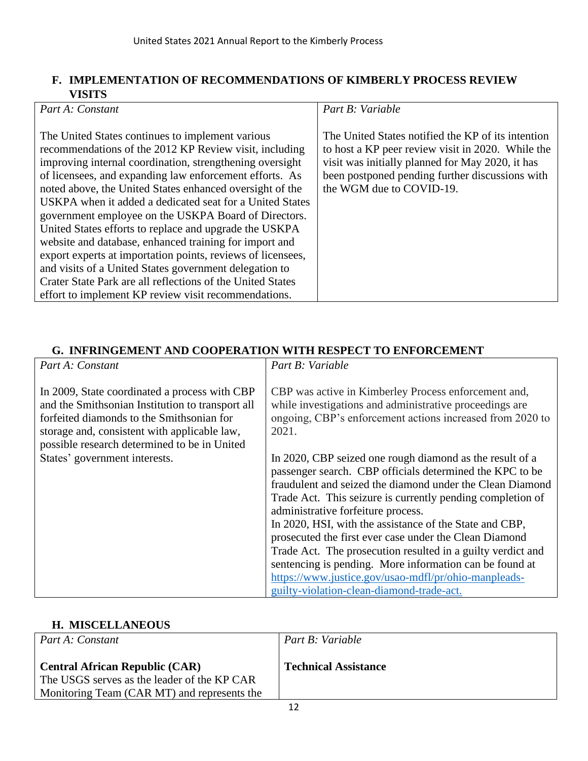#### **F. IMPLEMENTATION OF RECOMMENDATIONS OF KIMBERLY PROCESS REVIEW VISITS**

| The United States notified the KP of its intention<br>The United States continues to implement various<br>recommendations of the 2012 KP Review visit, including<br>to host a KP peer review visit in 2020. While the<br>visit was initially planned for May 2020, it has<br>improving internal coordination, strengthening oversight<br>been postponed pending further discussions with<br>of licensees, and expanding law enforcement efforts. As<br>noted above, the United States enhanced oversight of the<br>the WGM due to COVID-19.<br>USKPA when it added a dedicated seat for a United States<br>government employee on the USKPA Board of Directors.<br>United States efforts to replace and upgrade the USKPA<br>website and database, enhanced training for import and<br>export experts at importation points, reviews of licensees,<br>and visits of a United States government delegation to<br>Crater State Park are all reflections of the United States<br>effort to implement KP review visit recommendations. | Part A: Constant | Part B: Variable |
|------------------------------------------------------------------------------------------------------------------------------------------------------------------------------------------------------------------------------------------------------------------------------------------------------------------------------------------------------------------------------------------------------------------------------------------------------------------------------------------------------------------------------------------------------------------------------------------------------------------------------------------------------------------------------------------------------------------------------------------------------------------------------------------------------------------------------------------------------------------------------------------------------------------------------------------------------------------------------------------------------------------------------------|------------------|------------------|
|                                                                                                                                                                                                                                                                                                                                                                                                                                                                                                                                                                                                                                                                                                                                                                                                                                                                                                                                                                                                                                    |                  |                  |
|                                                                                                                                                                                                                                                                                                                                                                                                                                                                                                                                                                                                                                                                                                                                                                                                                                                                                                                                                                                                                                    |                  |                  |
|                                                                                                                                                                                                                                                                                                                                                                                                                                                                                                                                                                                                                                                                                                                                                                                                                                                                                                                                                                                                                                    |                  |                  |
|                                                                                                                                                                                                                                                                                                                                                                                                                                                                                                                                                                                                                                                                                                                                                                                                                                                                                                                                                                                                                                    |                  |                  |
|                                                                                                                                                                                                                                                                                                                                                                                                                                                                                                                                                                                                                                                                                                                                                                                                                                                                                                                                                                                                                                    |                  |                  |

## **G. INFRINGEMENT AND COOPERATION WITH RESPECT TO ENFORCEMENT**

| Part A: Constant                                                                                                                                                                                                                               | Part B: Variable                                                                                                                                                                                                                                                                                                                                 |
|------------------------------------------------------------------------------------------------------------------------------------------------------------------------------------------------------------------------------------------------|--------------------------------------------------------------------------------------------------------------------------------------------------------------------------------------------------------------------------------------------------------------------------------------------------------------------------------------------------|
| In 2009, State coordinated a process with CBP<br>and the Smithsonian Institution to transport all<br>forfeited diamonds to the Smithsonian for<br>storage and, consistent with applicable law,<br>possible research determined to be in United | CBP was active in Kimberley Process enforcement and,<br>while investigations and administrative proceedings are<br>ongoing, CBP's enforcement actions increased from 2020 to<br>2021.                                                                                                                                                            |
| States' government interests.                                                                                                                                                                                                                  | In 2020, CBP seized one rough diamond as the result of a<br>passenger search. CBP officials determined the KPC to be<br>fraudulent and seized the diamond under the Clean Diamond<br>Trade Act. This seizure is currently pending completion of<br>administrative forfeiture process.                                                            |
|                                                                                                                                                                                                                                                | In 2020, HSI, with the assistance of the State and CBP,<br>prosecuted the first ever case under the Clean Diamond<br>Trade Act. The prosecution resulted in a guilty verdict and<br>sentencing is pending. More information can be found at<br>https://www.justice.gov/usao-mdfl/pr/ohio-manpleads-<br>guilty-violation-clean-diamond-trade-act. |

## **H. MISCELLANEOUS**

| Part A: Constant                                                                     | Part B: Variable            |
|--------------------------------------------------------------------------------------|-----------------------------|
| <b>Central African Republic (CAR)</b><br>The USGS serves as the leader of the KP CAR | <b>Technical Assistance</b> |
| Monitoring Team (CAR MT) and represents the                                          |                             |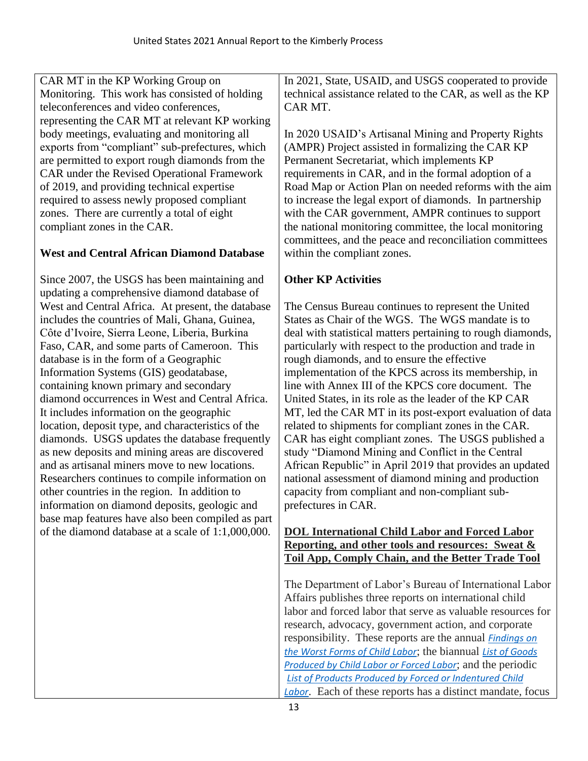CAR MT in the KP Working Group on Monitoring. This work has consisted of holding teleconferences and video conferences, representing the CAR MT at relevant KP working body meetings, evaluating and monitoring all exports from "compliant" sub-prefectures, which are permitted to export rough diamonds from the CAR under the Revised Operational Framework of 2019, and providing technical expertise required to assess newly proposed compliant zones. There are currently a total of eight compliant zones in the CAR.

# **West and Central African Diamond Database**

Since 2007, the USGS has been maintaining and updating a comprehensive diamond database of West and Central Africa. At present, the database includes the countries of Mali, Ghana, Guinea, Côte d'Ivoire, Sierra Leone, Liberia, Burkina Faso, CAR, and some parts of Cameroon. This database is in the form of a Geographic Information Systems (GIS) geodatabase, containing known primary and secondary diamond occurrences in West and Central Africa. It includes information on the geographic location, deposit type, and characteristics of the diamonds. USGS updates the database frequently as new deposits and mining areas are discovered and as artisanal miners move to new locations. Researchers continues to compile information on other countries in the region. In addition to information on diamond deposits, geologic and base map features have also been compiled as part of the diamond database at a scale of 1:1,000,000.

In 2021, State, USAID, and USGS cooperated to provide technical assistance related to the CAR, as well as the KP CAR MT.

In 2020 USAID's Artisanal Mining and Property Rights (AMPR) Project assisted in formalizing the CAR KP Permanent Secretariat, which implements KP requirements in CAR, and in the formal adoption of a Road Map or Action Plan on needed reforms with the aim to increase the legal export of diamonds. In partnership with the CAR government, AMPR continues to support the national monitoring committee, the local monitoring committees, and the peace and reconciliation committees within the compliant zones.

# **Other KP Activities**

The Census Bureau continues to represent the United States as Chair of the WGS. The WGS mandate is to deal with statistical matters pertaining to rough diamonds, particularly with respect to the production and trade in rough diamonds, and to ensure the effective implementation of the KPCS across its membership, in line with Annex III of the KPCS core document. The United States, in its role as the leader of the KP CAR MT, led the CAR MT in its post-export evaluation of data related to shipments for compliant zones in the CAR. CAR has eight compliant zones. The USGS published a study "Diamond Mining and Conflict in the Central African Republic" in April 2019 that provides an updated national assessment of diamond mining and production capacity from compliant and non-compliant subprefectures in CAR.

### **DOL International Child Labor and Forced Labor Reporting, and other tools and resources: Sweat & Toil App, Comply Chain, and the Better Trade Tool**

The Department of Labor's Bureau of International Labor Affairs publishes three reports on international child labor and forced labor that serve as valuable resources for research, advocacy, government action, and corporate responsibility. These reports are the annual *[Findings on](https://gcc02.safelinks.protection.outlook.com/?url=https%3A%2F%2Fwww.dol.gov%2Fagencies%2Filab%2Fresources%2Freports%2Fchild-labor%2Ffindings&data=04%7C01%7CRitcheyJ%40state.gov%7C5a4c6323351f4567619a08da1104b76b%7C66cf50745afe48d1a691a12b2121f44b%7C0%7C0%7C637841009209663986%7CUnknown%7CTWFpbGZsb3d8eyJWIjoiMC4wLjAwMDAiLCJQIjoiV2luMzIiLCJBTiI6Ik1haWwiLCJXVCI6Mn0%3D%7C3000&sdata=gQKr150lob6fcwDDd77jCTw4JauhKztP4nCKP997Yfo%3D&reserved=0)  [the Worst Forms of Child Labor](https://gcc02.safelinks.protection.outlook.com/?url=https%3A%2F%2Fwww.dol.gov%2Fagencies%2Filab%2Fresources%2Freports%2Fchild-labor%2Ffindings&data=04%7C01%7CRitcheyJ%40state.gov%7C5a4c6323351f4567619a08da1104b76b%7C66cf50745afe48d1a691a12b2121f44b%7C0%7C0%7C637841009209663986%7CUnknown%7CTWFpbGZsb3d8eyJWIjoiMC4wLjAwMDAiLCJQIjoiV2luMzIiLCJBTiI6Ik1haWwiLCJXVCI6Mn0%3D%7C3000&sdata=gQKr150lob6fcwDDd77jCTw4JauhKztP4nCKP997Yfo%3D&reserved=0)*; the biannual *[List of Goods](https://gcc02.safelinks.protection.outlook.com/?url=https%3A%2F%2Fwww.dol.gov%2Fagencies%2Filab%2Freports%2Fchild-labor%2Flist-of-goods&data=04%7C01%7CRitcheyJ%40state.gov%7C5a4c6323351f4567619a08da1104b76b%7C66cf50745afe48d1a691a12b2121f44b%7C0%7C0%7C637841009209663986%7CUnknown%7CTWFpbGZsb3d8eyJWIjoiMC4wLjAwMDAiLCJQIjoiV2luMzIiLCJBTiI6Ik1haWwiLCJXVCI6Mn0%3D%7C3000&sdata=ORzCVzI%2BUnHnkSa1u8VxQBvT9tszwd0CQolRvBKWpQk%3D&reserved=0)  [Produced by Child Labor or Forced Labor](https://gcc02.safelinks.protection.outlook.com/?url=https%3A%2F%2Fwww.dol.gov%2Fagencies%2Filab%2Freports%2Fchild-labor%2Flist-of-goods&data=04%7C01%7CRitcheyJ%40state.gov%7C5a4c6323351f4567619a08da1104b76b%7C66cf50745afe48d1a691a12b2121f44b%7C0%7C0%7C637841009209663986%7CUnknown%7CTWFpbGZsb3d8eyJWIjoiMC4wLjAwMDAiLCJQIjoiV2luMzIiLCJBTiI6Ik1haWwiLCJXVCI6Mn0%3D%7C3000&sdata=ORzCVzI%2BUnHnkSa1u8VxQBvT9tszwd0CQolRvBKWpQk%3D&reserved=0)*; and the periodic *[List of Products Produced by Forced or Indentured](https://gcc02.safelinks.protection.outlook.com/?url=https%3A%2F%2Fwww.dol.gov%2Fagencies%2Filab%2Freports%2Fchild-labor%2Flist-of-products&data=04%7C01%7CRitcheyJ%40state.gov%7C5a4c6323351f4567619a08da1104b76b%7C66cf50745afe48d1a691a12b2121f44b%7C0%7C0%7C637841009209663986%7CUnknown%7CTWFpbGZsb3d8eyJWIjoiMC4wLjAwMDAiLCJQIjoiV2luMzIiLCJBTiI6Ik1haWwiLCJXVCI6Mn0%3D%7C3000&sdata=5%2BNFjnuGCXs%2B1cdomwRhYUW9RU53t7nbEMghY2KdBDw%3D&reserved=0) Child [Labor](https://gcc02.safelinks.protection.outlook.com/?url=https%3A%2F%2Fwww.dol.gov%2Fagencies%2Filab%2Freports%2Fchild-labor%2Flist-of-products&data=04%7C01%7CRitcheyJ%40state.gov%7C5a4c6323351f4567619a08da1104b76b%7C66cf50745afe48d1a691a12b2121f44b%7C0%7C0%7C637841009209663986%7CUnknown%7CTWFpbGZsb3d8eyJWIjoiMC4wLjAwMDAiLCJQIjoiV2luMzIiLCJBTiI6Ik1haWwiLCJXVCI6Mn0%3D%7C3000&sdata=5%2BNFjnuGCXs%2B1cdomwRhYUW9RU53t7nbEMghY2KdBDw%3D&reserved=0)*. Each of these reports has a distinct mandate, focus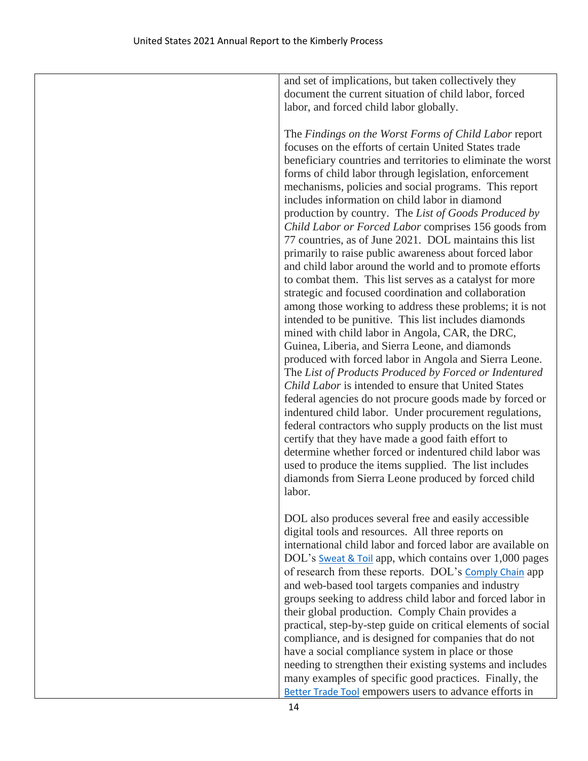and set of implications, but taken collectively they document the current situation of child labor, forced labor, and forced child labor globally.

The *Findings on the Worst Forms of Child Labor* report focuses on the efforts of certain United States trade beneficiary countries and territories to eliminate the worst forms of child labor through legislation, enforcement mechanisms, policies and social programs. This report includes information on child labor in diamond production by country. The *List of Goods Produced by Child Labor or Forced Labor* comprises 156 goods from 77 countries, as of June 2021. DOL maintains this list primarily to raise public awareness about forced labor and child labor around the world and to promote efforts to combat them. This list serves as a catalyst for more strategic and focused coordination and collaboration among those working to address these problems; it is not intended to be punitive. This list includes diamonds mined with child labor in Angola, CAR, the DRC, Guinea, Liberia, and Sierra Leone, and diamonds produced with forced labor in Angola and Sierra Leone. The *List of Products Produced by Forced or Indentured Child Labor* is intended to ensure that United States federal agencies do not procure goods made by forced or indentured child labor. Under procurement regulations, federal contractors who supply products on the list must certify that they have made a good faith effort to determine whether forced or indentured child labor was used to produce the items supplied. The list includes diamonds from Sierra Leone produced by forced child labor.

DOL also produces several free and easily accessible digital tools and resources. All three reports on international child labor and forced labor are available on DOL's [Sweat & Toil](https://gcc02.safelinks.protection.outlook.com/?url=https%3A%2F%2Fwww.dol.gov%2Fgeneral%2Fapps%2Filab&data=04%7C01%7CRitcheyJ%40state.gov%7C5a4c6323351f4567619a08da1104b76b%7C66cf50745afe48d1a691a12b2121f44b%7C0%7C0%7C637841009209663986%7CUnknown%7CTWFpbGZsb3d8eyJWIjoiMC4wLjAwMDAiLCJQIjoiV2luMzIiLCJBTiI6Ik1haWwiLCJXVCI6Mn0%3D%7C3000&sdata=hffIyeJVD6aCOayij4YktzsqU6zURdxoEo8eTc2OIA0%3D&reserved=0) app, which contains over 1,000 pages of research from these reports. DOL's [Comply Chain](https://gcc02.safelinks.protection.outlook.com/?url=https%3A%2F%2Fwww.dol.gov%2Fgeneral%2Fapps%2Filab-comply-chain&data=04%7C01%7CRitcheyJ%40state.gov%7C5a4c6323351f4567619a08da1104b76b%7C66cf50745afe48d1a691a12b2121f44b%7C0%7C0%7C637841009209663986%7CUnknown%7CTWFpbGZsb3d8eyJWIjoiMC4wLjAwMDAiLCJQIjoiV2luMzIiLCJBTiI6Ik1haWwiLCJXVCI6Mn0%3D%7C3000&sdata=f00jGaFam%2FJvoXuuCrIp3uF11vU1WIpyr0dfH9%2Boy7A%3D&reserved=0) app and web-based tool targets companies and industry groups seeking to address child labor and forced labor in their global production. Comply Chain provides a practical, step-by-step guide on critical elements of social compliance, and is designed for companies that do not have a social compliance system in place or those needing to strengthen their existing systems and includes many examples of specific good practices. Finally, the **[Better Trade Tool](https://gcc02.safelinks.protection.outlook.com/?url=https%3A%2F%2Fwww.dol.gov%2Fagencies%2Filab%2Fbetter-trade-tool&data=04%7C01%7CRitcheyJ%40state.gov%7C5a4c6323351f4567619a08da1104b76b%7C66cf50745afe48d1a691a12b2121f44b%7C0%7C0%7C637841009209663986%7CUnknown%7CTWFpbGZsb3d8eyJWIjoiMC4wLjAwMDAiLCJQIjoiV2luMzIiLCJBTiI6Ik1haWwiLCJXVCI6Mn0%3D%7C3000&sdata=2kBBL5c80s1%2FzPQAuTV8UwtZ6dDxyLuD9oZCh9ObLNQ%3D&reserved=0) empowers users to advance efforts in**